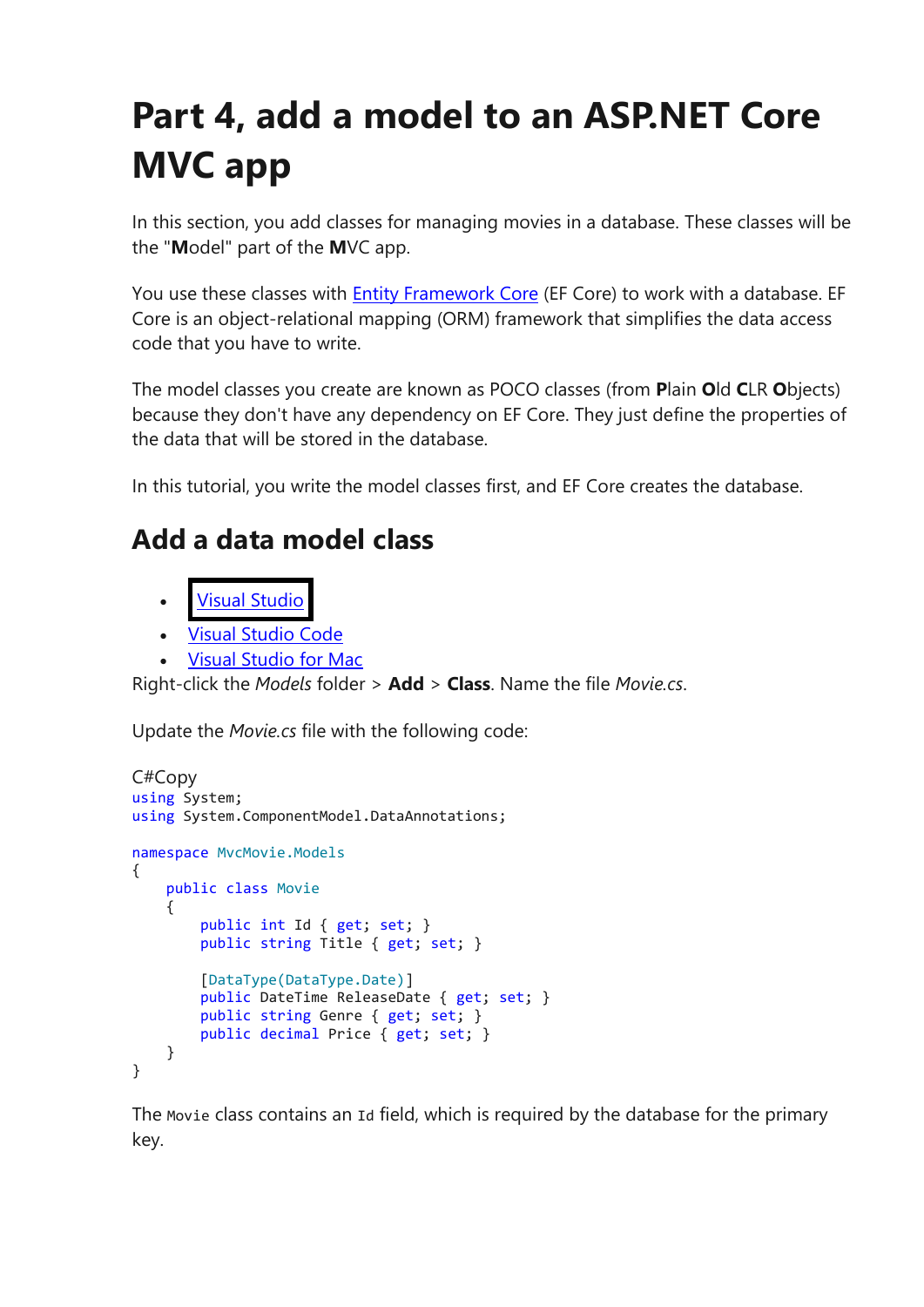# **Part 4, add a model to an ASP.NET Core MVC app**

In this section, you add classes for managing movies in a database. These classes will be the "**M**odel" part of the **M**VC app.

You use these classes with **[Entity Framework Core](https://docs.microsoft.com/en-us/ef/core)** (EF Core) to work with a database. EF Core is an object-relational mapping (ORM) framework that simplifies the data access code that you have to write.

The model classes you create are known as POCO classes (from **P**lain **O**ld **C**LR **O**bjects) because they don't have any dependency on EF Core. They just define the properties of the data that will be stored in the database.

In this tutorial, you write the model classes first, and EF Core creates the database.

## **Add a data model class**

- **Visual [Studio](https://docs.microsoft.com/en-gb/aspnet/core/tutorials/first-mvc-app/adding-model?view=aspnetcore-3.1&tabs=visual-studio#tabpanel_9_visual-studio)**
- Visual [Studio](https://docs.microsoft.com/en-gb/aspnet/core/tutorials/first-mvc-app/adding-model?view=aspnetcore-3.1&tabs=visual-studio#tabpanel_9_visual-studio-code) Code
- Visual [Studio](https://docs.microsoft.com/en-gb/aspnet/core/tutorials/first-mvc-app/adding-model?view=aspnetcore-3.1&tabs=visual-studio#tabpanel_9_visual-studio-mac) for Mac

Right-click the *Models* folder > **Add** > **Class**. Name the file *Movie.cs*.

Update the *Movie.cs* file with the following code:

```
C#Copy
using System;
using System.ComponentModel.DataAnnotations;
namespace MvcMovie.Models
{
     public class Movie
     {
         public int Id { get; set; }
         public string Title { get; set; }
         [DataType(DataType.Date)]
         public DateTime ReleaseDate { get; set; }
         public string Genre { get; set; }
         public decimal Price { get; set; }
     }
}
```
The Movie class contains an Id field, which is required by the database for the primary key.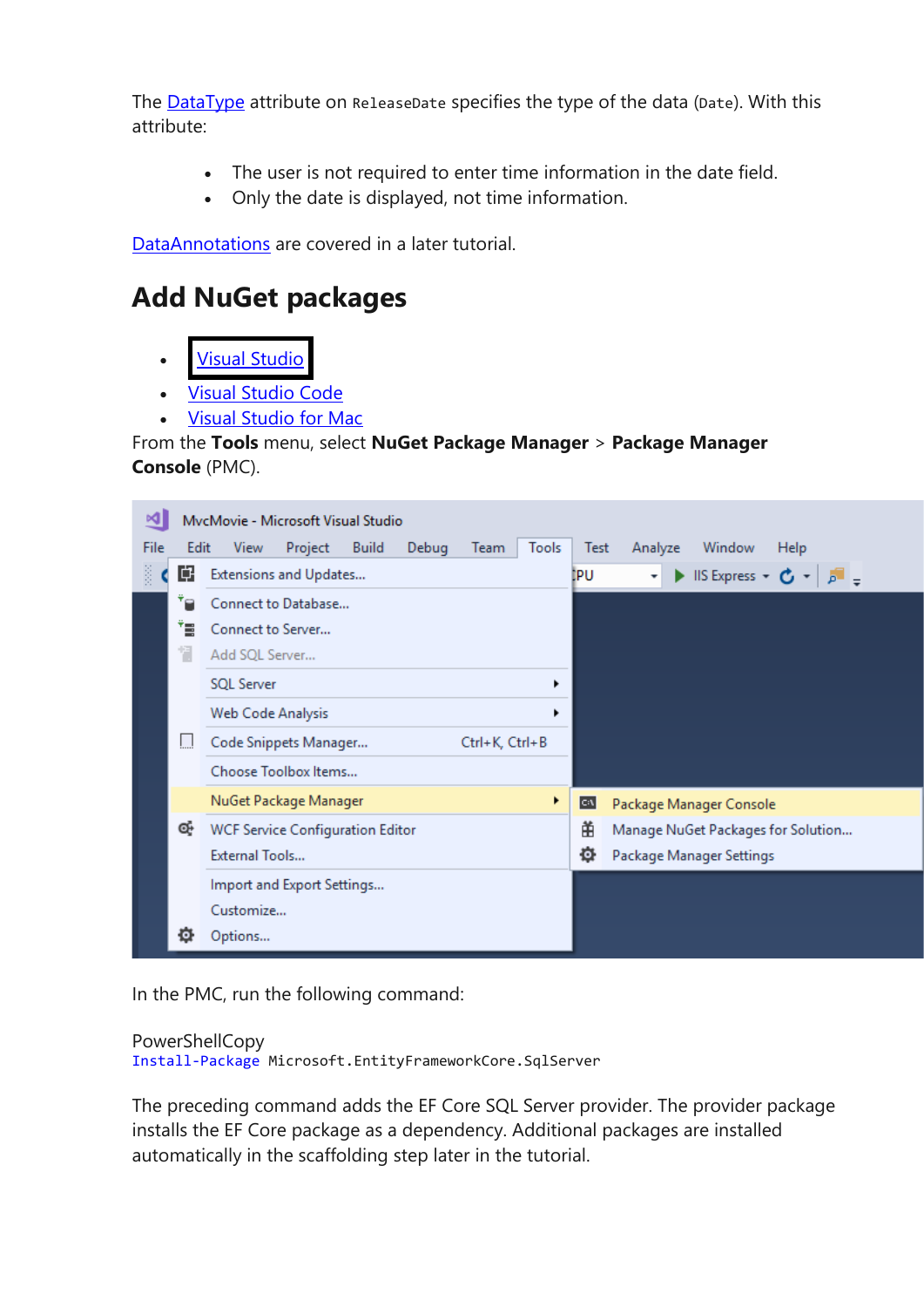The [DataType](https://docs.microsoft.com/en-us/dotnet/api/system.componentmodel.dataannotations.datatype) attribute on ReleaseDate specifies the type of the data (Date). With this attribute:

- The user is not required to enter time information in the date field.
- Only the date is displayed, not time information.

[DataAnnotations](https://docs.microsoft.com/en-us/dotnet/api/system.componentmodel.dataannotations) are covered in a later tutorial.

#### **Add NuGet packages**

- **Visual [Studio](https://docs.microsoft.com/en-gb/aspnet/core/tutorials/first-mvc-app/adding-model?view=aspnetcore-3.1&tabs=visual-studio#tabpanel_10_visual-studio)**
- Visual [Studio](https://docs.microsoft.com/en-gb/aspnet/core/tutorials/first-mvc-app/adding-model?view=aspnetcore-3.1&tabs=visual-studio#tabpanel_10_visual-studio-code) Code
- Visual [Studio](https://docs.microsoft.com/en-gb/aspnet/core/tutorials/first-mvc-app/adding-model?view=aspnetcore-3.1&tabs=visual-studio#tabpanel_10_visual-studio-mac) for Mac

#### From the **Tools** menu, select **NuGet Package Manager** > **Package Manager Console** (PMC).



In the PMC, run the following command:

#### PowerShellCopy

Install-Package Microsoft.EntityFrameworkCore.SqlServer

The preceding command adds the EF Core SQL Server provider. The provider package installs the EF Core package as a dependency. Additional packages are installed automatically in the scaffolding step later in the tutorial.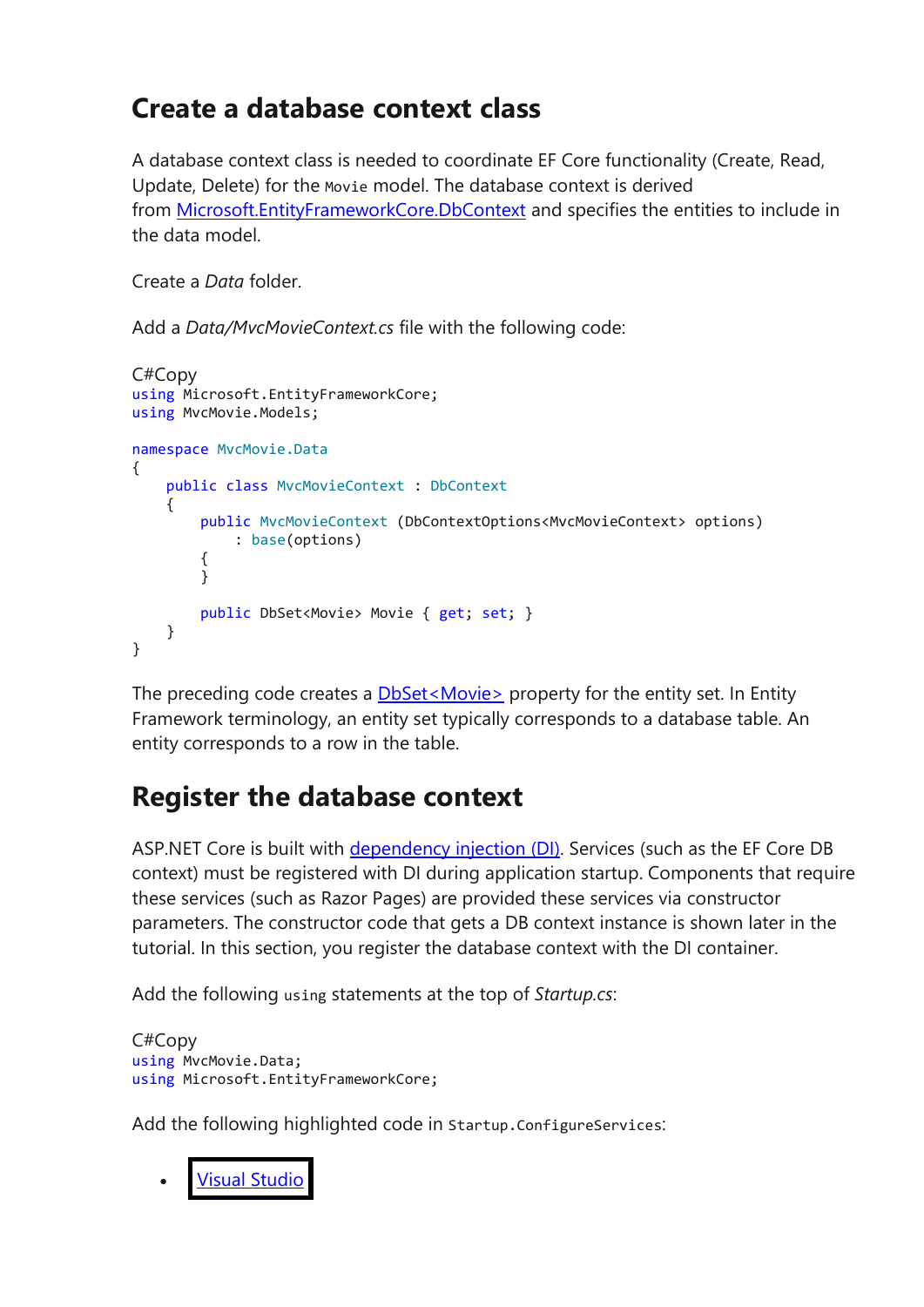#### **Create a database context class**

A database context class is needed to coordinate EF Core functionality (Create, Read, Update, Delete) for the Movie model. The database context is derived from [Microsoft.EntityFrameworkCore.DbContext](https://docs.microsoft.com/en-us/dotnet/api/microsoft.entityframeworkcore.dbcontext) and specifies the entities to include in the data model.

Create a *Data* folder.

Add a *Data/MvcMovieContext.cs* file with the following code:

```
C#Copy
using Microsoft.EntityFrameworkCore;
using MvcMovie.Models;
namespace MvcMovie.Data
{
     public class MvcMovieContext : DbContext
\{ \{ \} public MvcMovieContext (DbContextOptions<MvcMovieContext> options)
             : base(options)
         {
         }
         public DbSet<Movie> Movie { get; set; }
     }
}
```
The preceding code creates a **DbSet**<Movie> property for the entity set. In Entity Framework terminology, an entity set typically corresponds to a database table. An entity corresponds to a row in the table.

#### **Register the database context**

ASP.NET Core is built with [dependency injection \(DI\).](https://docs.microsoft.com/en-gb/aspnet/core/fundamentals/dependency-injection?view=aspnetcore-3.1) Services (such as the EF Core DB context) must be registered with DI during application startup. Components that require these services (such as Razor Pages) are provided these services via constructor parameters. The constructor code that gets a DB context instance is shown later in the tutorial. In this section, you register the database context with the DI container.

Add the following using statements at the top of *Startup.cs*:

```
C#Copy
using MvcMovie.Data;
using Microsoft.EntityFrameworkCore;
```
Add the following highlighted code in Startup.ConfigureServices:

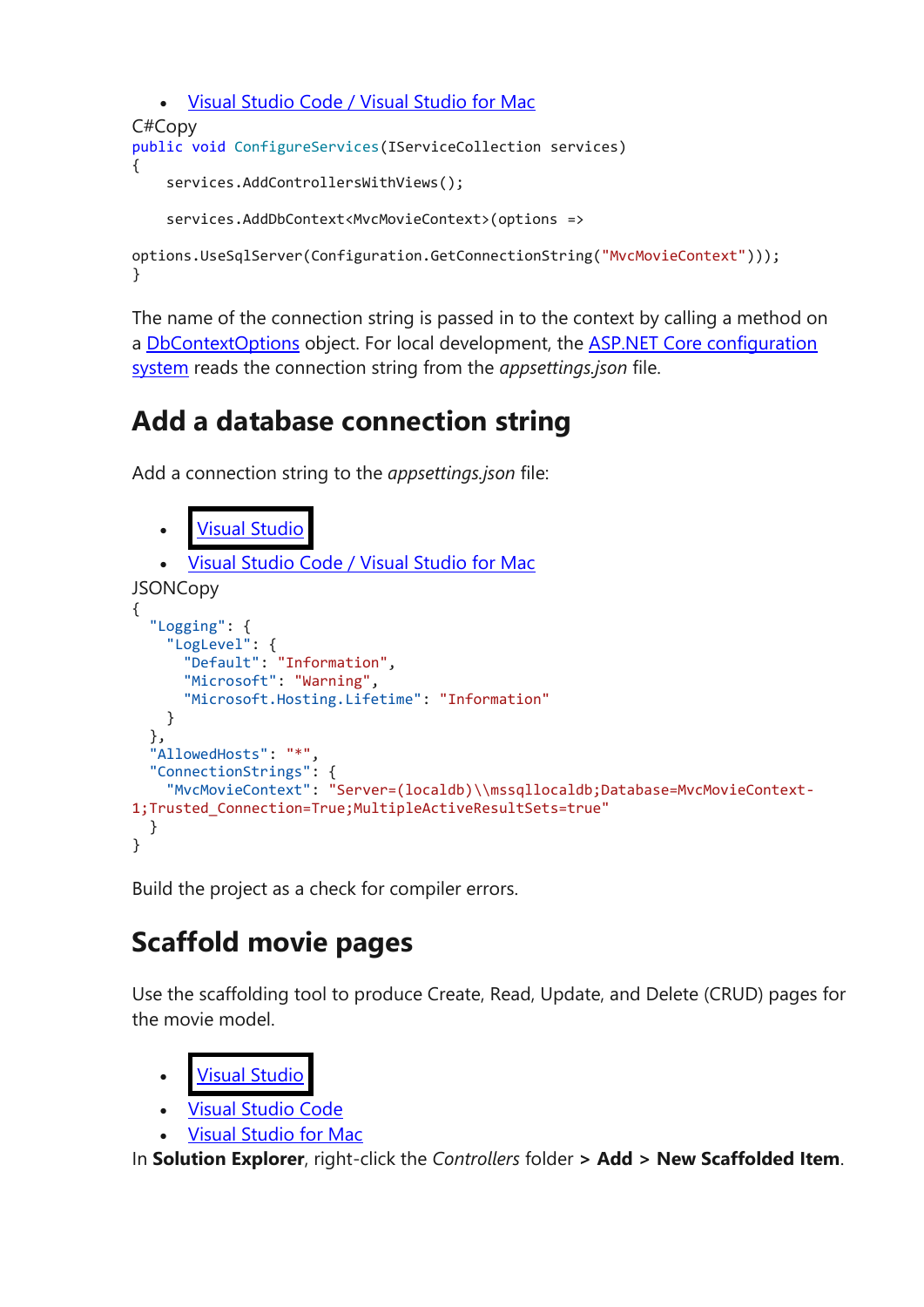```
• Visual Studio Code / Visual Studio for Mac
C#Copy
public void ConfigureServices(IServiceCollection services)
{
     services.AddControllersWithViews();
     services.AddDbContext<MvcMovieContext>(options =>
options.UseSqlServer(Configuration.GetConnectionString("MvcMovieContext")));
```
The name of the connection string is passed in to the context by calling a method on a [DbContextOptions](https://docs.microsoft.com/en-us/dotnet/api/microsoft.entityframeworkcore.dbcontextoptions) object. For local development, the [ASP.NET Core configuration](https://docs.microsoft.com/en-gb/aspnet/core/fundamentals/configuration/?view=aspnetcore-3.1)  [system](https://docs.microsoft.com/en-gb/aspnet/core/fundamentals/configuration/?view=aspnetcore-3.1) reads the connection string from the *appsettings.json* file.

### **Add a database connection string**

Add a connection string to the *appsettings.json* file:

}

```
Studio
      • Visual Studio Code / Visual Studio for Mac
JSONCopy
{
   "Logging": {
     "LogLevel": {
       "Default": "Information",
       "Microsoft": "Warning",
       "Microsoft.Hosting.Lifetime": "Information"
     }
 },
 "AllowedHosts": "*",
   "ConnectionStrings": {
     "MvcMovieContext": "Server=(localdb)\\mssqllocaldb;Database=MvcMovieContext-
1;Trusted_Connection=True;MultipleActiveResultSets=true"
   }
}
```
Build the project as a check for compiler errors.

### **Scaffold movie pages**

Use the scaffolding tool to produce Create, Read, Update, and Delete (CRUD) pages for the movie model.

```
Studio
```
- **Visual [Studio](https://docs.microsoft.com/en-gb/aspnet/core/tutorials/first-mvc-app/adding-model?view=aspnetcore-3.1&tabs=visual-studio#tabpanel_13_visual-studio-code) Code**
- Visual [Studio](https://docs.microsoft.com/en-gb/aspnet/core/tutorials/first-mvc-app/adding-model?view=aspnetcore-3.1&tabs=visual-studio#tabpanel_13_visual-studio-mac) for Mac

In **Solution Explorer**, right-click the *Controllers* folder **> Add > New Scaffolded Item**.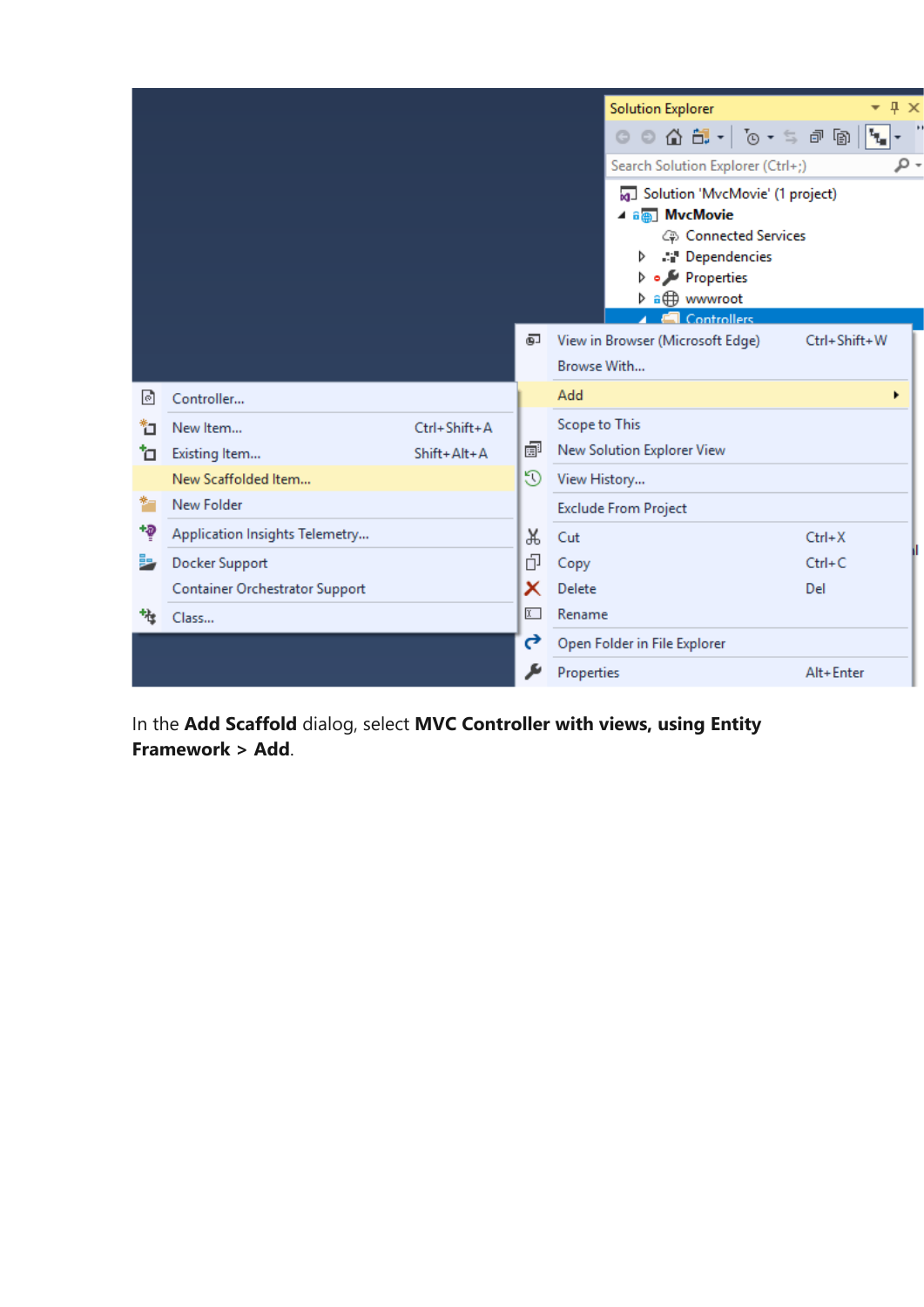|      |                                       |              |            | <b>Solution Explorer</b><br>$\texttt{0} \oplus \texttt{1} \oplus \texttt{2} \oplus \texttt{3} \oplus \texttt{5} \oplus \texttt{6}$<br>Search Solution Explorer (Ctrl+;)<br>Solution 'MvcMovie' (1 project)<br>⊿ a <sub>n</sub> MvcMovie<br>Connected Services<br>A <sup>1</sup> Dependencies<br>▷<br>Properties<br><b>Controllers</b> | 4 ×<br>۰<br>مر |
|------|---------------------------------------|--------------|------------|---------------------------------------------------------------------------------------------------------------------------------------------------------------------------------------------------------------------------------------------------------------------------------------------------------------------------------------|----------------|
|      |                                       |              | ஒ          | View in Browser (Microsoft Edge)<br>Browse With                                                                                                                                                                                                                                                                                       | Ctrl+Shift+W   |
| ाञ   | Controller                            |              |            | Add                                                                                                                                                                                                                                                                                                                                   | ٠              |
| ۴٦   | New Item                              | Ctrl+Shift+A |            | Scope to This                                                                                                                                                                                                                                                                                                                         |                |
| ъ    | Existing Item                         | Shift+Alt+A  | 睿          | New Solution Explorer View                                                                                                                                                                                                                                                                                                            |                |
|      | New Scaffolded Item                   |              | 9          | View History                                                                                                                                                                                                                                                                                                                          |                |
| 鞭    | New Folder                            |              |            | <b>Exclude From Project</b>                                                                                                                                                                                                                                                                                                           |                |
| $+9$ | Application Insights Telemetry        |              | Ж          | Cut                                                                                                                                                                                                                                                                                                                                   | $Ctrl+X$       |
|      | Docker Support                        |              | 巾          | Copy                                                                                                                                                                                                                                                                                                                                  | $Ctrl + C$     |
|      | <b>Container Orchestrator Support</b> |              | x          | Delete                                                                                                                                                                                                                                                                                                                                | Del            |
|      | Class                                 |              | $\sqrt{x}$ | Rename                                                                                                                                                                                                                                                                                                                                |                |
|      |                                       |              | ₹          | Open Folder in File Explorer                                                                                                                                                                                                                                                                                                          |                |
|      |                                       |              |            | Properties                                                                                                                                                                                                                                                                                                                            | Alt+Enter      |

In the **Add Scaffold** dialog, select **MVC Controller with views, using Entity Framework > Add**.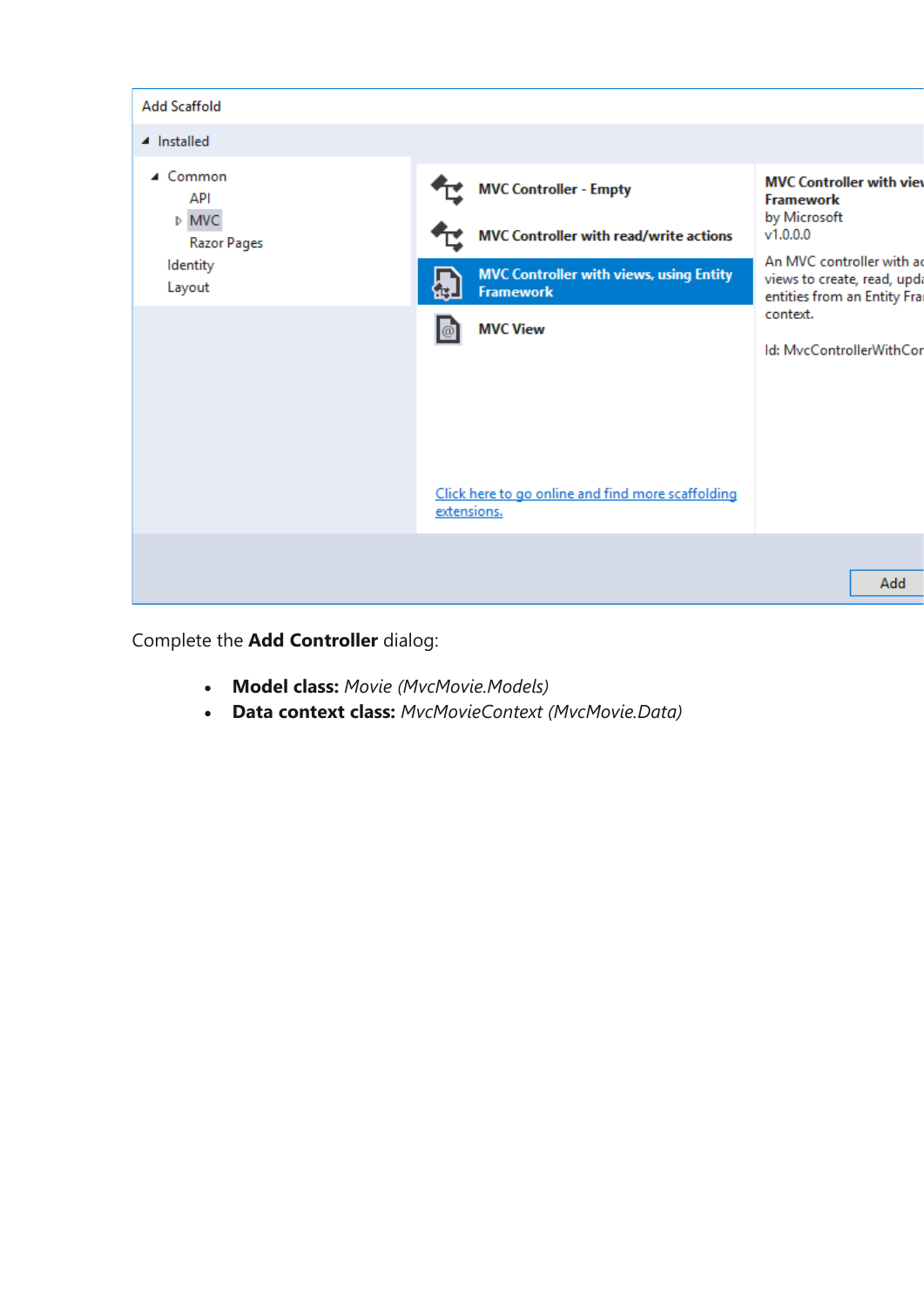

Complete the **Add Controller** dialog:

- **Model class:** *Movie (MvcMovie.Models)*
- **Data context class:** *MvcMovieContext (MvcMovie.Data)*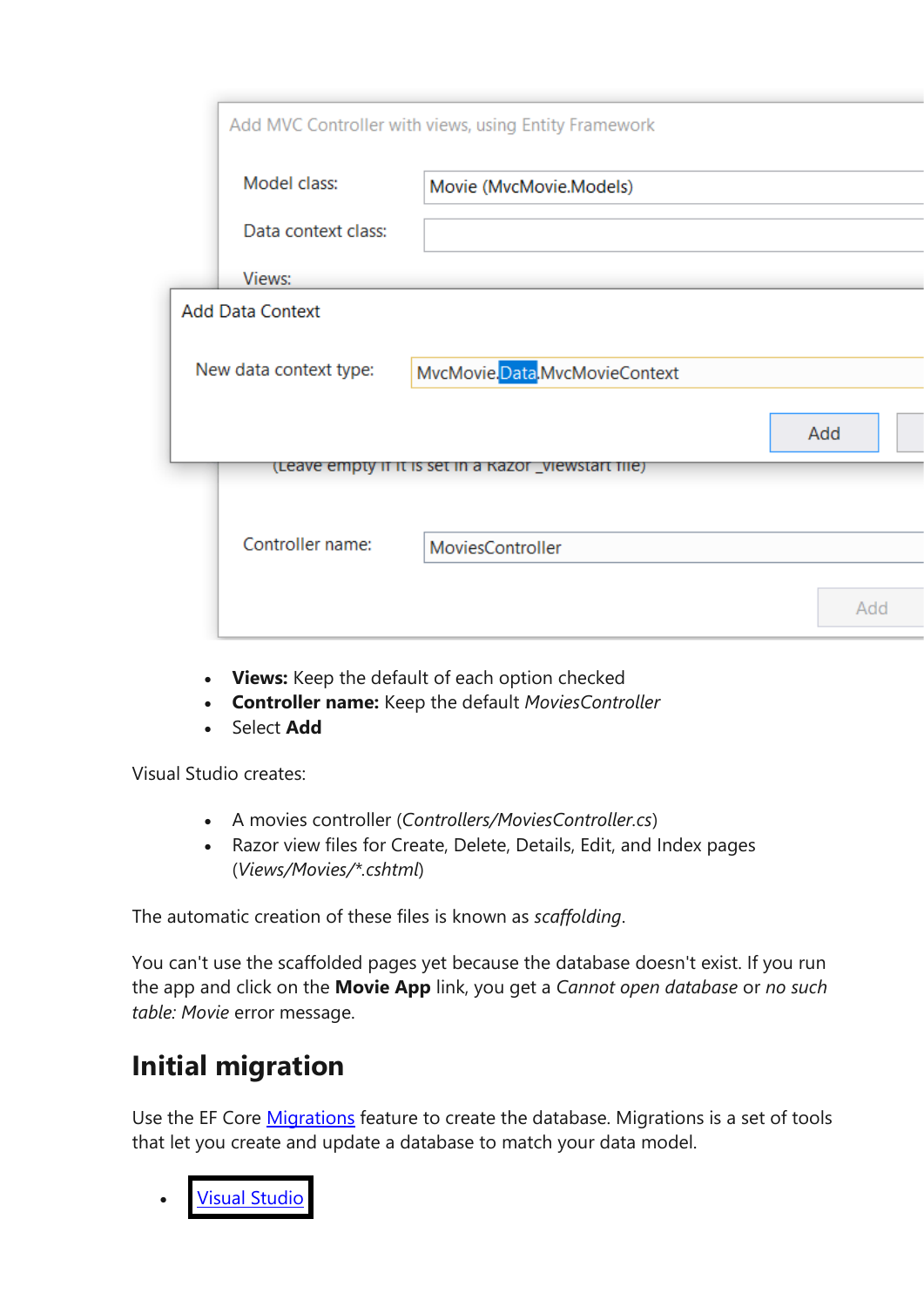|                         | Add MVC Controller with views, using Entity Framework |     |
|-------------------------|-------------------------------------------------------|-----|
| Model class:            | Movie (MvcMovie.Models)                               |     |
| Data context class:     |                                                       |     |
| Views:                  |                                                       |     |
| <b>Add Data Context</b> |                                                       |     |
| New data context type:  | MvcMovie.Data.MvcMovieContext                         |     |
|                         |                                                       | Add |
|                         | (Leave empty if it is set in a Kazor _viewstart file) |     |
| Controller name:        | MoviesController                                      |     |
|                         |                                                       |     |
|                         |                                                       | Add |
|                         |                                                       |     |

- **Views:** Keep the default of each option checked
- **Controller name:** Keep the default *MoviesController*
- Select **Add**

Visual Studio creates:

- A movies controller (*Controllers/MoviesController.cs*)
- Razor view files for Create, Delete, Details, Edit, and Index pages (*Views/Movies/\*.cshtml*)

The automatic creation of these files is known as *scaffolding*.

You can't use the scaffolded pages yet because the database doesn't exist. If you run the app and click on the **Movie App** link, you get a *Cannot open database* or *no such table: Movie* error message.

# **Initial migration**

Use the EF Core [Migrations](https://docs.microsoft.com/en-gb/aspnet/core/data/ef-mvc/migrations?view=aspnetcore-3.1) feature to create the database. Migrations is a set of tools that let you create and update a database to match your data model.

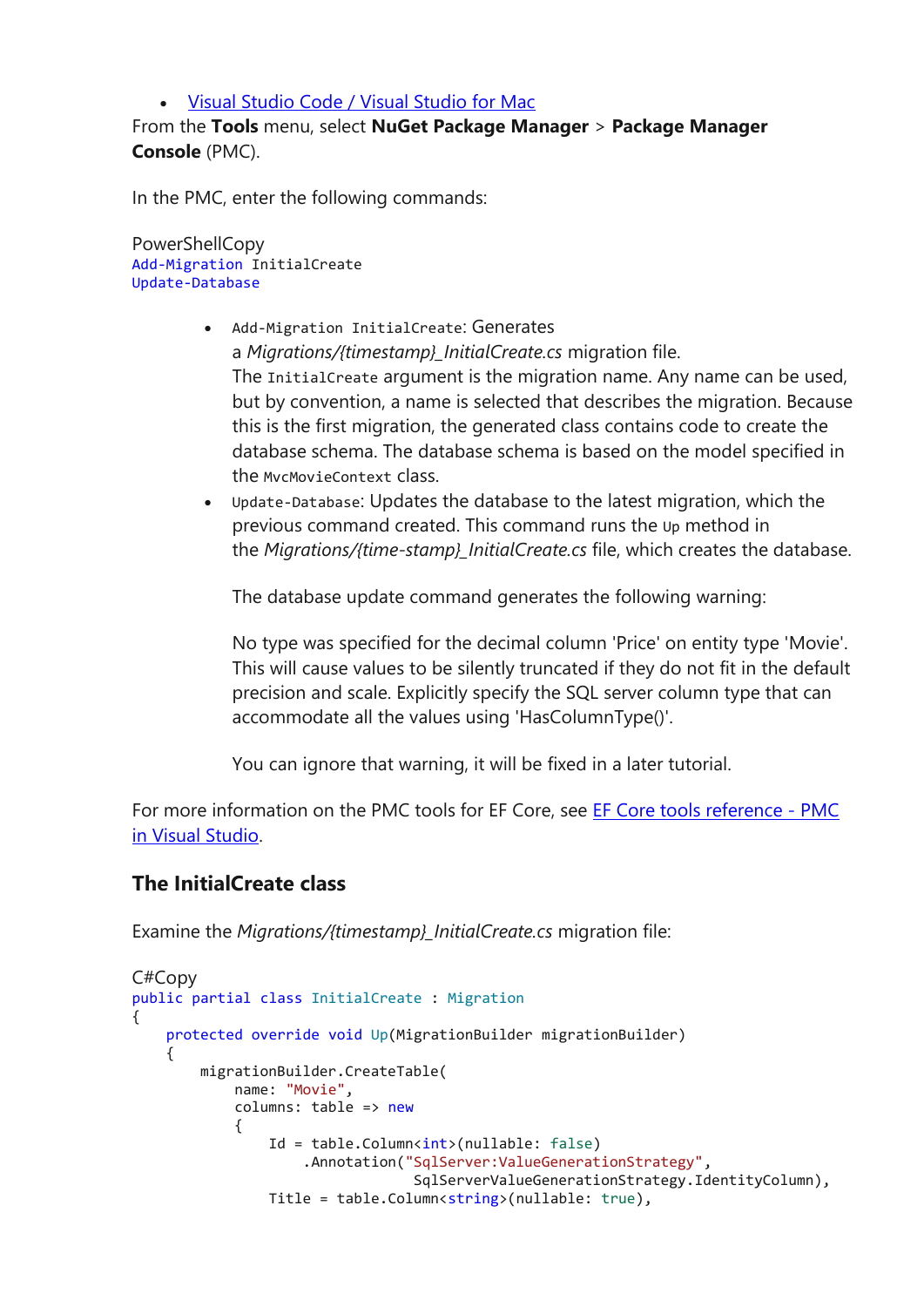#### • Visual [Studio](https://docs.microsoft.com/en-gb/aspnet/core/tutorials/first-mvc-app/adding-model?view=aspnetcore-3.1&tabs=visual-studio#tabpanel_14_visual-studio-code+visual-studio-mac) Code / Visual Studio for Mac

From the **Tools** menu, select **NuGet Package Manager** > **Package Manager Console** (PMC).

In the PMC, enter the following commands:

PowerShellCopy Add-Migration InitialCreate Update-Database

- Add-Migration InitialCreate: Generates a *Migrations/{timestamp}\_InitialCreate.cs* migration file. The InitialCreate argument is the migration name. Any name can be used, but by convention, a name is selected that describes the migration. Because this is the first migration, the generated class contains code to create the database schema. The database schema is based on the model specified in the MvcMovieContext class.
- Update-Database: Updates the database to the latest migration, which the previous command created. This command runs the Up method in the *Migrations/{time-stamp}\_InitialCreate.cs* file, which creates the database.

The database update command generates the following warning:

No type was specified for the decimal column 'Price' on entity type 'Movie'. This will cause values to be silently truncated if they do not fit in the default precision and scale. Explicitly specify the SQL server column type that can accommodate all the values using 'HasColumnType()'.

You can ignore that warning, it will be fixed in a later tutorial.

For more information on the PMC tools for EF Core, see [EF Core tools reference -](https://docs.microsoft.com/en-us/ef/core/miscellaneous/cli/powershell) PMC [in Visual Studio.](https://docs.microsoft.com/en-us/ef/core/miscellaneous/cli/powershell)

#### **The InitialCreate class**

Examine the *Migrations/{timestamp}\_InitialCreate.cs* migration file:

```
C#Copy
public partial class InitialCreate : Migration
{
     protected override void Up(MigrationBuilder migrationBuilder)
     {
         migrationBuilder.CreateTable(
             name: "Movie",
            columns: table => new
\{Id = table.Columr<sub>int</sub>(nullable: false) .Annotation("SqlServer:ValueGenerationStrategy",
                                  SqlServerValueGenerationStrategy.IdentityColumn),
                Title = table.Column<string>(nullable: true),
```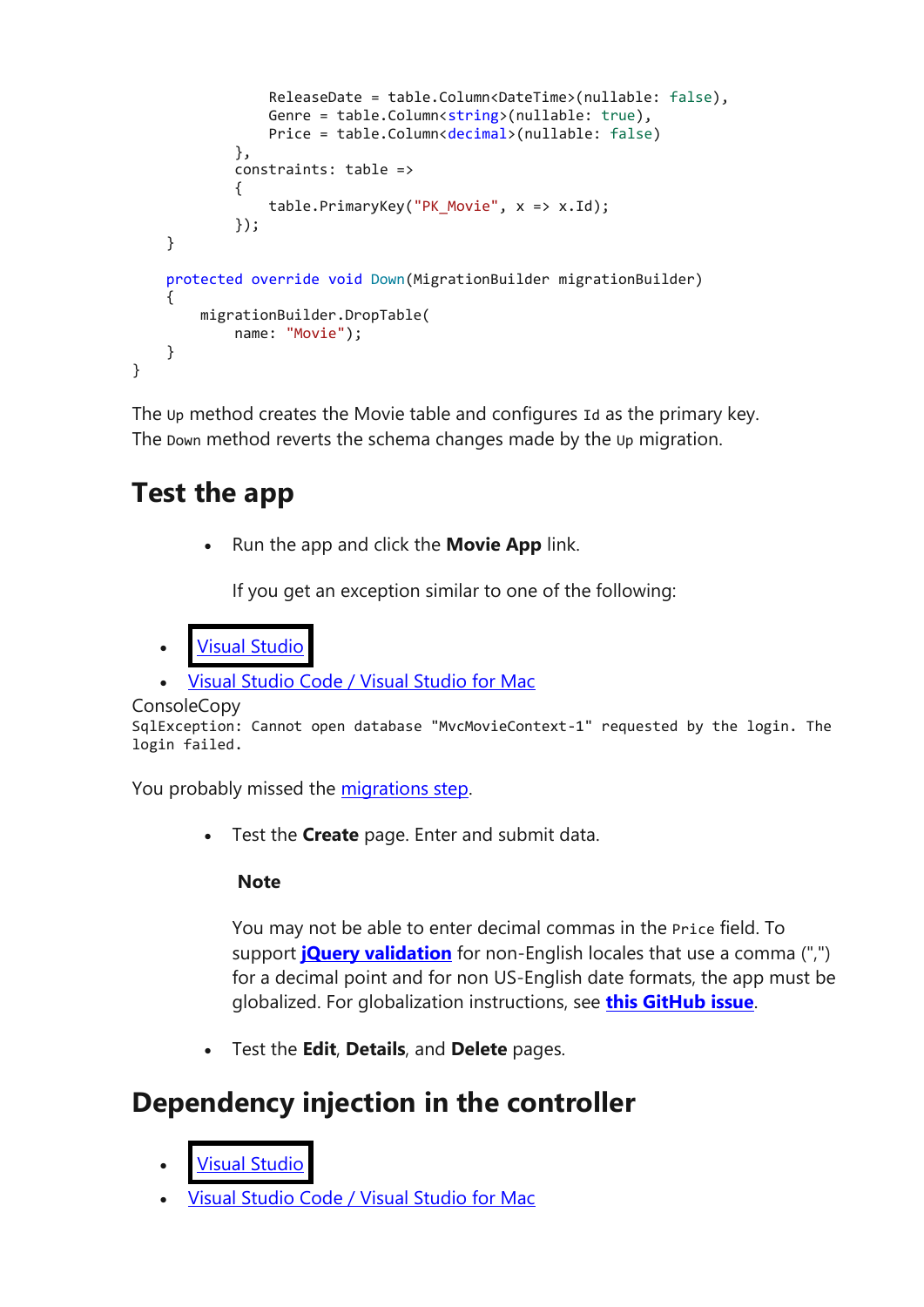```
 ReleaseDate = table.Column<DateTime>(nullable: false),
                Genre = table.Column<string>(nullable: true),
                 Price = table.Column<decimal>(nullable: false)
             },
             constraints: table =>
\{ table.PrimaryKey("PK_Movie", x => x.Id);
             });
     }
     protected override void Down(MigrationBuilder migrationBuilder)
     {
         migrationBuilder.DropTable(
            name: "Movie");
     }
}
```
The Up method creates the Movie table and configures Id as the primary key. The Down method reverts the schema changes made by the Up migration.

#### **Test the app**

• Run the app and click the **Movie App** link.

If you get an exception similar to one of the following:

```
• Visual Studio
```
• Visual [Studio](https://docs.microsoft.com/en-gb/aspnet/core/tutorials/first-mvc-app/adding-model?view=aspnetcore-3.1&tabs=visual-studio#tabpanel_15_visual-studio-code+visual-studio-mac) Code / Visual Studio for Mac

```
ConsoleCopy
```

```
SqlException: Cannot open database "MvcMovieContext-1" requested by the login. The
login failed.
```
You probably missed the [migrations step.](https://docs.microsoft.com/en-gb/aspnet/core/tutorials/first-mvc-app/adding-model?view=aspnetcore-3.1&tabs=visual-studio#migration)

• Test the **Create** page. Enter and submit data.

#### **Note**

You may not be able to enter decimal commas in the Price field. To support **[jQuery validation](https://jqueryvalidation.org/)** for non-English locales that use a comma (",") for a decimal point and for non US-English date formats, the app must be globalized. For globalization instructions, see **[this GitHub issue](https://github.com/dotnet/AspNetCore.Docs/issues/4076#issuecomment-326590420)**.

• Test the **Edit**, **Details**, and **Delete** pages.

### **Dependency injection in the controller**

- **Visual [Studio](https://docs.microsoft.com/en-gb/aspnet/core/tutorials/first-mvc-app/adding-model?view=aspnetcore-3.1&tabs=visual-studio#tabpanel_16_visual-studio)**
- Visual [Studio](https://docs.microsoft.com/en-gb/aspnet/core/tutorials/first-mvc-app/adding-model?view=aspnetcore-3.1&tabs=visual-studio#tabpanel_16_visual-studio-code+visual-studio-mac) Code / Visual Studio for Mac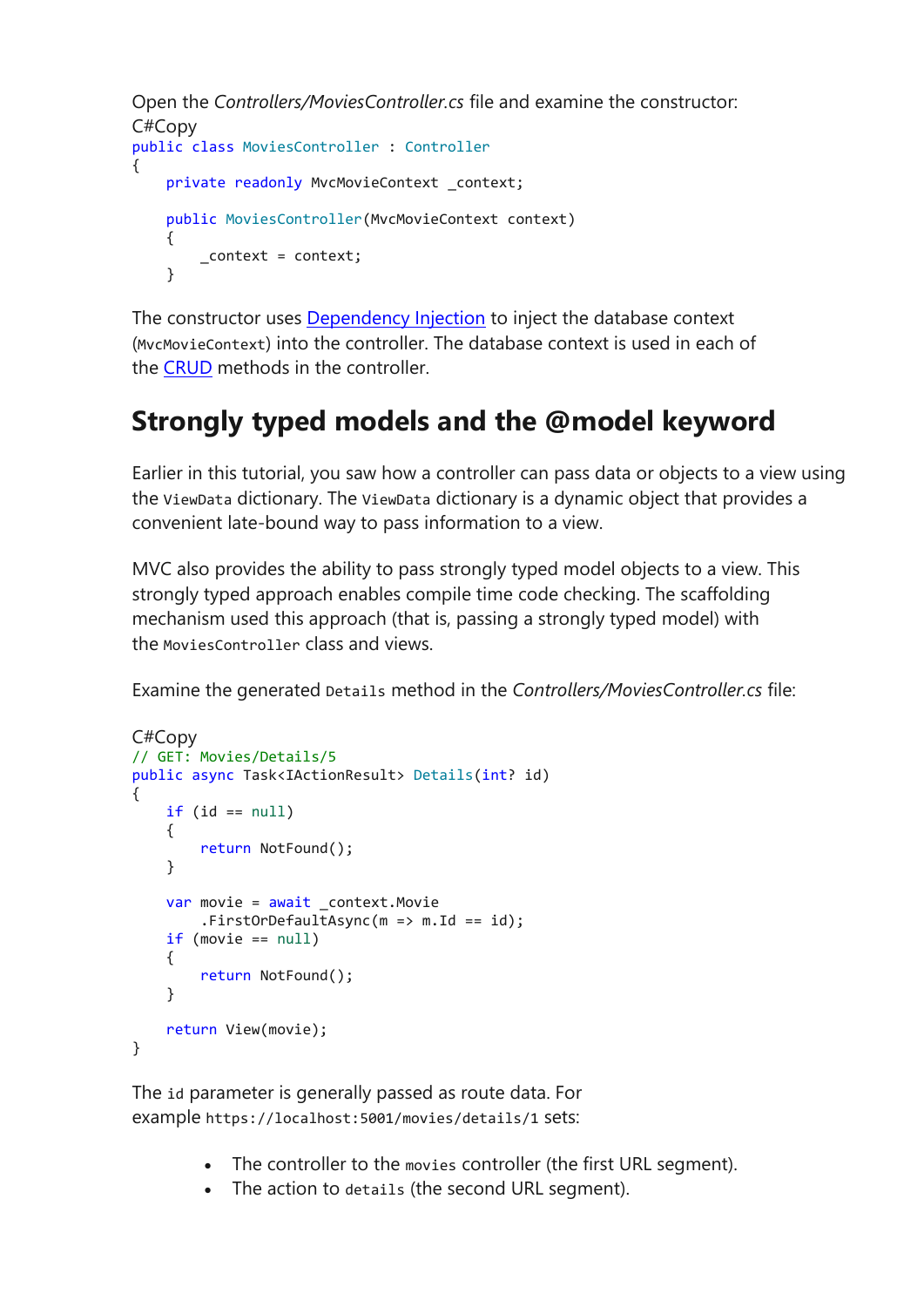```
Open the Controllers/MoviesController.cs file and examine the constructor:
C#Copy
public class MoviesController : Controller
{
    private readonly MvcMovieContext _context;
    public MoviesController(MvcMovieContext context)
     {
         _context = context;
     }
```
The constructor uses [Dependency Injection](https://docs.microsoft.com/en-gb/aspnet/core/fundamentals/dependency-injection?view=aspnetcore-3.1) to inject the database context (MvcMovieContext) into the controller. The database context is used in each of the [CRUD](https://wikipedia.org/wiki/Create,_read,_update_and_delete) methods in the controller.

#### **Strongly typed models and the @model keyword**

Earlier in this tutorial, you saw how a controller can pass data or objects to a view using the ViewData dictionary. The ViewData dictionary is a dynamic object that provides a convenient late-bound way to pass information to a view.

MVC also provides the ability to pass strongly typed model objects to a view. This strongly typed approach enables compile time code checking. The scaffolding mechanism used this approach (that is, passing a strongly typed model) with the MoviesController class and views.

Examine the generated Details method in the *Controllers/MoviesController.cs* file:

```
C#Copy
// GET: Movies/Details/5
public async Task<IActionResult> Details(int? id)
{
    if (id == null) {
         return NotFound();
     }
    var movie = await context. Movie
        .FirstOrDefaultAsync(m = > m.Id == id);
     if (movie == null)
     {
         return NotFound();
     }
     return View(movie);
}
```
The id parameter is generally passed as route data. For example https://localhost:5001/movies/details/1 sets:

- The controller to the movies controller (the first URL segment).
- The action to details (the second URL segment).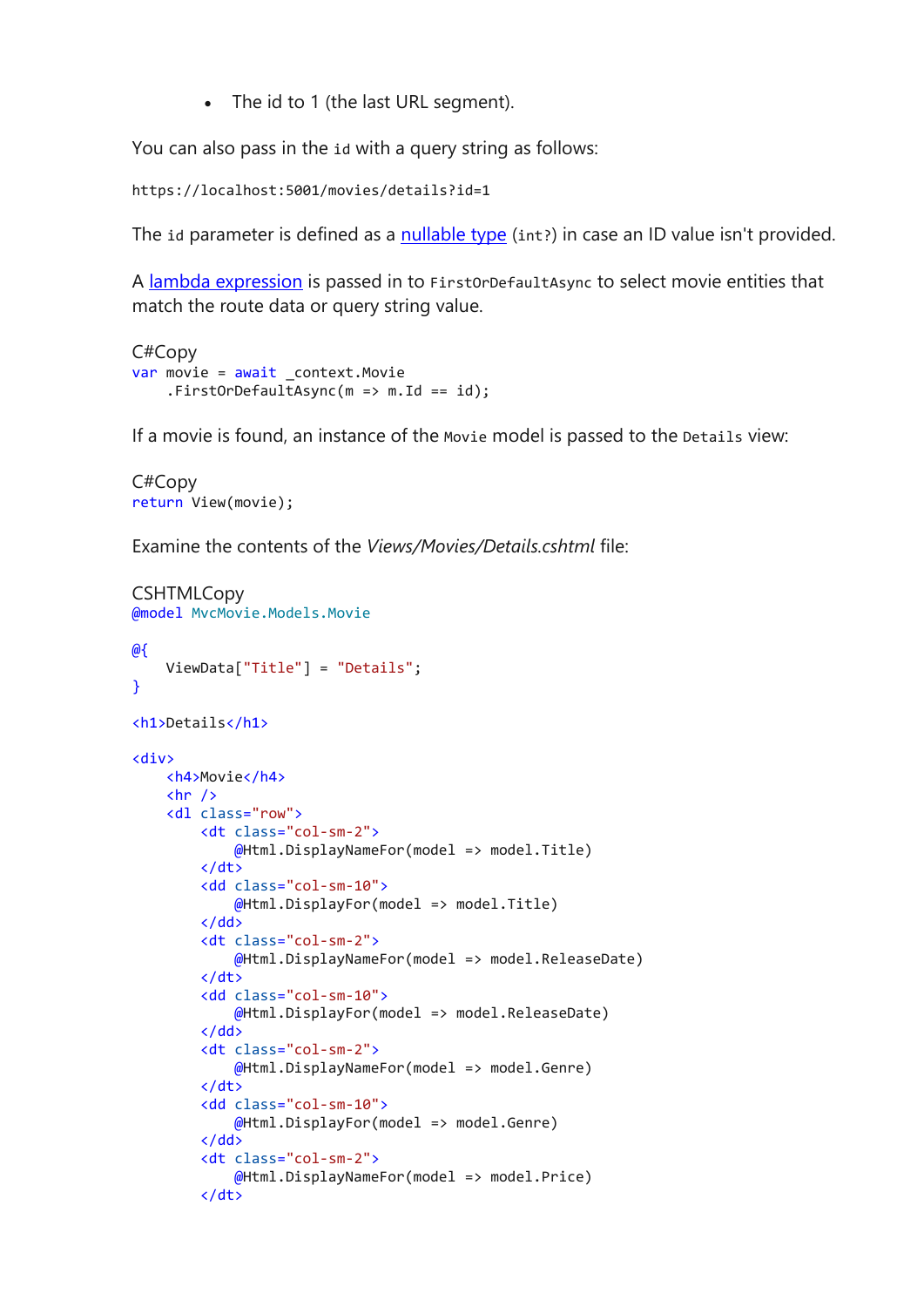• The id to 1 (the last URL segment).

You can also pass in the id with a query string as follows:

https://localhost:5001/movies/details?id=1

The id parameter is defined as a [nullable type](https://docs.microsoft.com/en-us/dotnet/csharp/programming-guide/nullable-types/index) (int?) in case an ID value isn't provided.

A [lambda expression](https://docs.microsoft.com/en-us/dotnet/articles/csharp/programming-guide/statements-expressions-operators/lambda-expressions) is passed in to FirstOrDefaultAsync to select movie entities that match the route data or query string value.

```
C#Copy
var movie = await _context.Movie
     .FirstOrDefaultAsync(m => m.Id == id);
```
If a movie is found, an instance of the Movie model is passed to the Details view:

```
C#Copy
return View(movie);
```
Examine the contents of the *Views/Movies/Details.cshtml* file:

```
CSHTMLCopy
@model MvcMovie.Models.Movie
@{
     ViewData["Title"] = "Details";
}
<h1>Details</h1>
<div>
     <h4>Movie</h4>
    \langlehr />
     <dl class="row">
         <dt class="col-sm-2">
              @Html.DisplayNameFor(model => model.Title)
         </dt>
         <dd class="col-sm-10">
              @Html.DisplayFor(model => model.Title)
         </dd>
         <dt class="col-sm-2">
              @Html.DisplayNameFor(model => model.ReleaseDate)
         </dt>
         <dd class="col-sm-10">
              @Html.DisplayFor(model => model.ReleaseDate)
        \langle/dd\rangle <dt class="col-sm-2">
              @Html.DisplayNameFor(model => model.Genre)
        \langle/dt>
         <dd class="col-sm-10">
              @Html.DisplayFor(model => model.Genre)
         </dd>
         <dt class="col-sm-2">
              @Html.DisplayNameFor(model => model.Price)
         </dt>
```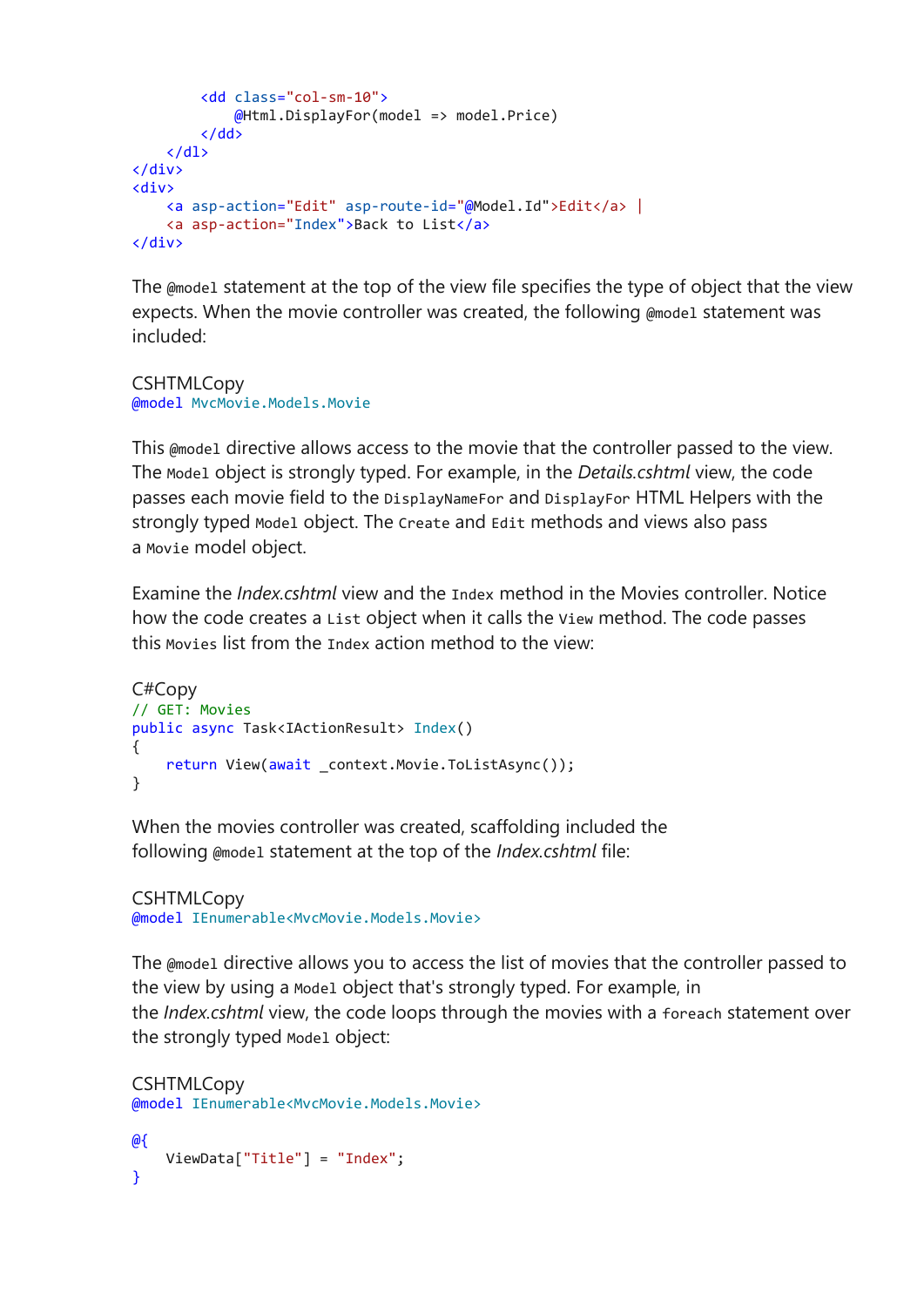```
 <dd class="col-sm-10">
             @Html.DisplayFor(model => model.Price)
         </dd>
    \langle/dl>
</div>
<div>
     <a asp-action="Edit" asp-route-id="@Model.Id">Edit</a> |
     <a asp-action="Index">Back to List</a>
</div>
```
The @model statement at the top of the view file specifies the type of object that the view expects. When the movie controller was created, the following @model statement was included:

**CSHTMLCopy** @model MvcMovie.Models.Movie

This @model directive allows access to the movie that the controller passed to the view. The Model object is strongly typed. For example, in the *Details.cshtml* view, the code passes each movie field to the DisplayNameFor and DisplayFor HTML Helpers with the strongly typed Model object. The Create and Edit methods and views also pass a Movie model object.

Examine the *Index.cshtml* view and the Index method in the Movies controller. Notice how the code creates a List object when it calls the View method. The code passes this Movies list from the Index action method to the view:

```
C#Copy
// GET: Movies
public async Task<IActionResult> Index()
{
    return View(await context.Movie.ToListAsync());
}
```
When the movies controller was created, scaffolding included the following @model statement at the top of the *Index.cshtml* file:

**CSHTMLCopy** @model IEnumerable<MvcMovie.Models.Movie>

The @model directive allows you to access the list of movies that the controller passed to the view by using a Model object that's strongly typed. For example, in the *Index.cshtml* view, the code loops through the movies with a foreach statement over the strongly typed Model object:

```
CSHTMLCopy
@model IEnumerable<MvcMovie.Models.Movie>
@{
    ViewData["Title"] = "Index";
}
```